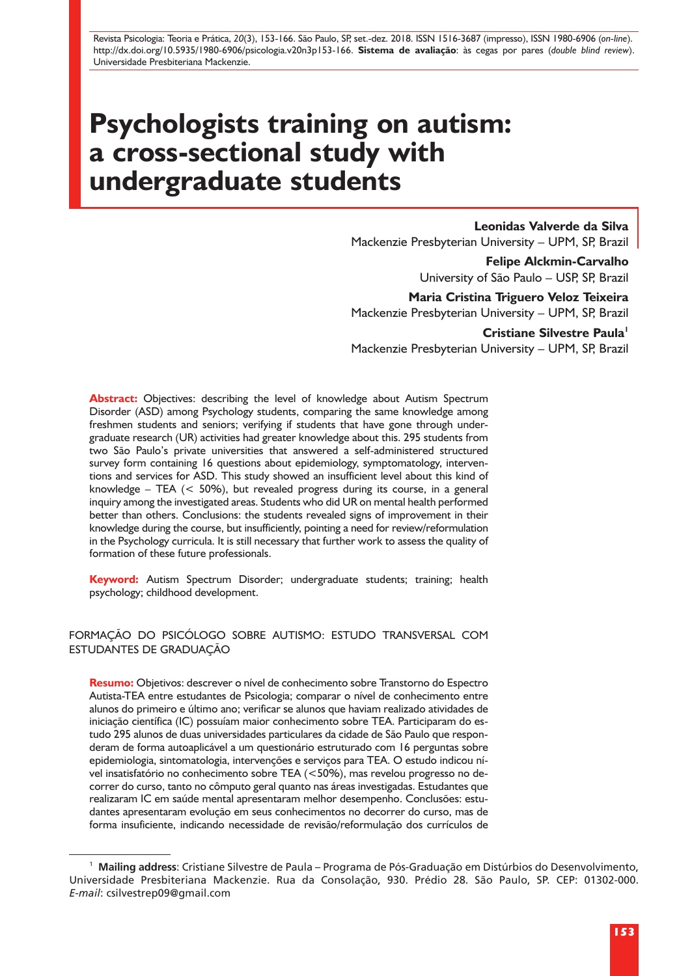Revista Psicologia: Teoria e Prática, *20*(3), 153-166. São Paulo, SP, set.-dez. 2018. ISSN 1516-3687 (impresso), ISSN 1980-6906 (*on-line*). http://dx.doi.org/10.5935/1980-6906/psicologia.v20n3p153-166. **Sistema de avaliação**: às cegas por pares (*double blind review*). Universidade Presbiteriana Mackenzie.

# **Psychologists training on autism: a cross-sectional study with undergraduate students**

**Leonidas Valverde da Silva** Mackenzie Presbyterian University – UPM, SP, Brazil

> **Felipe Alckmin-Carvalho** University of São Paulo – USP, SP, Brazil

**Maria Cristina Triguero Veloz Teixeira** Mackenzie Presbyterian University – UPM, SP, Brazil

**Cristiane Silvestre Paula<sup>1</sup>** Mackenzie Presbyterian University – UPM, SP, Brazil

**Abstract:** Objectives: describing the level of knowledge about Autism Spectrum Disorder (ASD) among Psychology students, comparing the same knowledge among freshmen students and seniors; verifying if students that have gone through undergraduate research (UR) activities had greater knowledge about this. 295 students from two São Paulo's private universities that answered a self-administered structured survey form containing 16 questions about epidemiology, symptomatology, interventions and services for ASD. This study showed an insufficient level about this kind of knowledge – TEA (< 50%), but revealed progress during its course, in a general inquiry among the investigated areas. Students who did UR on mental health performed better than others. Conclusions: the students revealed signs of improvement in their knowledge during the course, but insufficiently, pointing a need for review/reformulation in the Psychology curricula. It is still necessary that further work to assess the quality of formation of these future professionals.

**Keyword:** Autism Spectrum Disorder; undergraduate students; training; health psychology; childhood development.

#### FORMAÇÃO DO PSICÓLOGO SOBRE AUTISMO: ESTUDO TRANSVERSAL COM ESTUDANTES DE GRADUAÇÃO

**Resumo:** Objetivos: descrever o nível de conhecimento sobre Transtorno do Espectro Autista-TEA entre estudantes de Psicologia; comparar o nível de conhecimento entre alunos do primeiro e último ano; verificar se alunos que haviam realizado atividades de iniciação científica (IC) possuíam maior conhecimento sobre TEA. Participaram do estudo 295 alunos de duas universidades particulares da cidade de São Paulo que responderam de forma autoaplicável a um questionário estruturado com 16 perguntas sobre epidemiologia, sintomatologia, intervenções e serviços para TEA. O estudo indicou nível insatisfatório no conhecimento sobre TEA (<50%), mas revelou progresso no decorrer do curso, tanto no cômputo geral quanto nas áreas investigadas. Estudantes que realizaram IC em saúde mental apresentaram melhor desempenho. Conclusões: estudantes apresentaram evolução em seus conhecimentos no decorrer do curso, mas de forma insuficiente, indicando necessidade de revisão/reformulação dos currículos de

<sup>1</sup> **Mailing address**: Cristiane Silvestre de Paula – Programa de Pós-Graduação em Distúrbios do Desenvolvimento, Universidade Presbiteriana Mackenzie. Rua da Consolação, 930. Prédio 28. São Paulo, SP. CEP: 01302-000. *E-mail*: csilvestrep09@gmail.com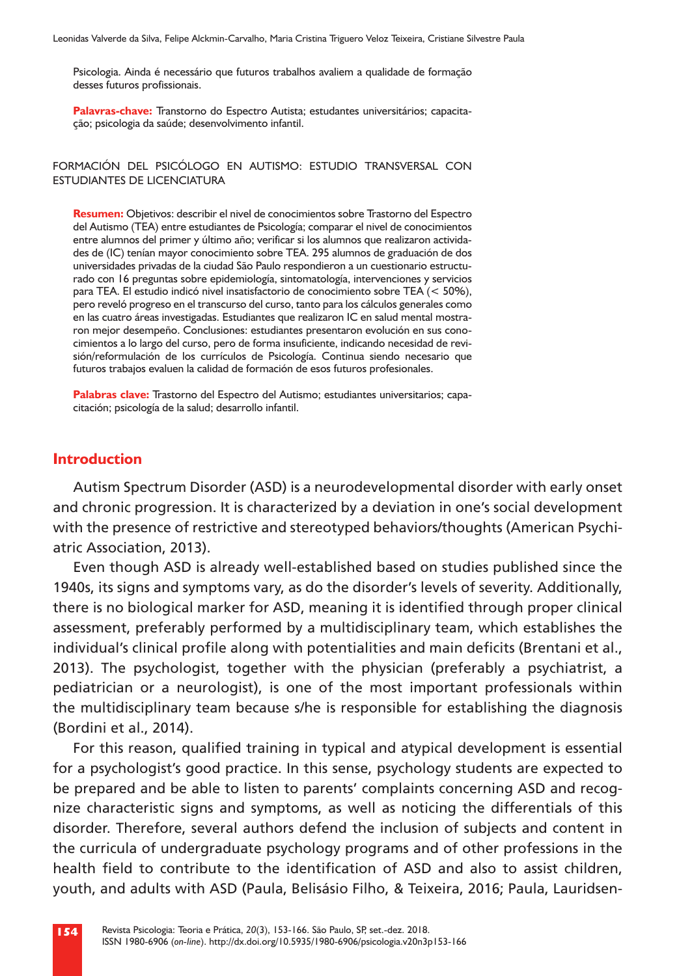Psicologia. Ainda é necessário que futuros trabalhos avaliem a qualidade de formação desses futuros profissionais.

**Palavras-chave:** Transtorno do Espectro Autista; estudantes universitários; capacitação; psicologia da saúde; desenvolvimento infantil.

FORMACIÓN DEL PSICÓLOGO EN AUTISMO: ESTUDIO TRANSVERSAL CON ESTUDIANTES DE LICENCIATURA

**Resumen:** Objetivos: describir el nivel de conocimientos sobre Trastorno del Espectro del Autismo (TEA) entre estudiantes de Psicología; comparar el nivel de conocimientos entre alumnos del primer y último año; verificar si los alumnos que realizaron actividades de (IC) tenían mayor conocimiento sobre TEA. 295 alumnos de graduación de dos universidades privadas de la ciudad São Paulo respondieron a un cuestionario estructurado con 16 preguntas sobre epidemiología, sintomatología, intervenciones y servicios para TEA. El estudio indicó nivel insatisfactorio de conocimiento sobre TEA (< 50%), pero reveló progreso en el transcurso del curso, tanto para los cálculos generales como en las cuatro áreas investigadas. Estudiantes que realizaron IC en salud mental mostraron mejor desempeño. Conclusiones: estudiantes presentaron evolución en sus conocimientos a lo largo del curso, pero de forma insuficiente, indicando necesidad de revisión/reformulación de los currículos de Psicología. Continua siendo necesario que futuros trabajos evaluen la calidad de formación de esos futuros profesionales.

Palabras clave: Trastorno del Espectro del Autismo; estudiantes universitarios; capacitación; psicología de la salud; desarrollo infantil.

#### **Introduction**

Autism Spectrum Disorder (ASD) is a neurodevelopmental disorder with early onset and chronic progression. It is characterized by a deviation in one's social development with the presence of restrictive and stereotyped behaviors/thoughts (American Psychiatric Association, 2013).

Even though ASD is already well-established based on studies published since the 1940s, its signs and symptoms vary, as do the disorder's levels of severity. Additionally, there is no biological marker for ASD, meaning it is identified through proper clinical assessment, preferably performed by a multidisciplinary team, which establishes the individual's clinical profile along with potentialities and main deficits (Brentani et al., 2013). The psychologist, together with the physician (preferably a psychiatrist, a pediatrician or a neurologist), is one of the most important professionals within the multidisciplinary team because s/he is responsible for establishing the diagnosis (Bordini et al., 2014).

For this reason, qualified training in typical and atypical development is essential for a psychologist's good practice. In this sense, psychology students are expected to be prepared and be able to listen to parents' complaints concerning ASD and recognize characteristic signs and symptoms, as well as noticing the differentials of this disorder. Therefore, several authors defend the inclusion of subjects and content in the curricula of undergraduate psychology programs and of other professions in the health field to contribute to the identification of ASD and also to assist children, youth, and adults with ASD (Paula, Belisásio Filho, & Teixeira, 2016; Paula, Lauridsen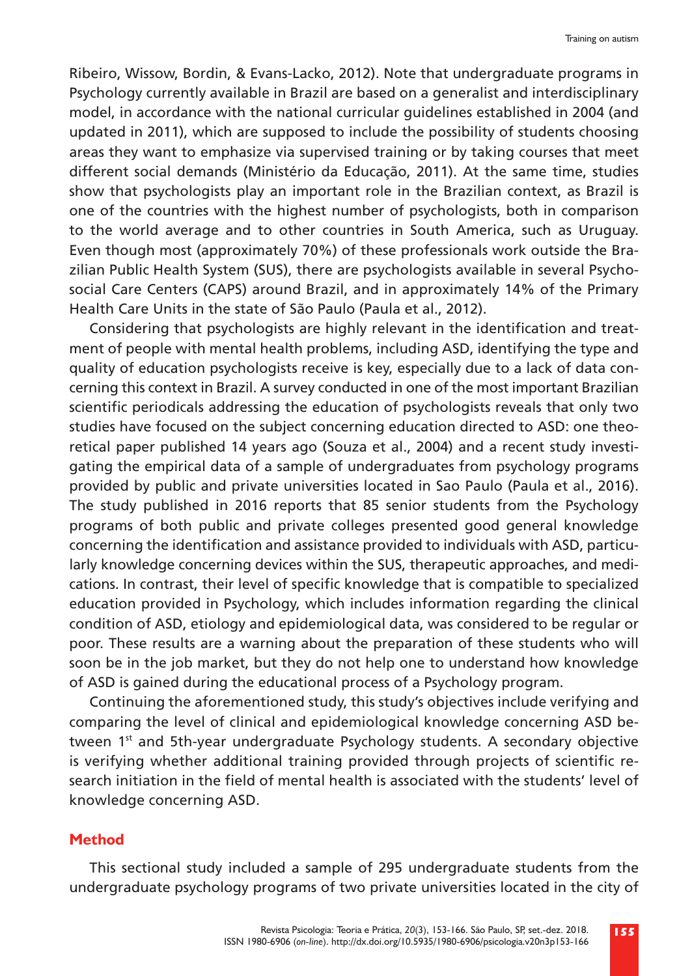Ribeiro, Wissow, Bordin, & Evans-Lacko, 2012). Note that undergraduate programs in Psychology currently available in Brazil are based on a generalist and interdisciplinary model, in accordance with the national curricular guidelines established in 2004 (and updated in 2011), which are supposed to include the possibility of students choosing areas they want to emphasize via supervised training or by taking courses that meet different social demands (Ministério da Educação, 2011). At the same time, studies show that psychologists play an important role in the Brazilian context, as Brazil is one of the countries with the highest number of psychologists, both in comparison to the world average and to other countries in South America, such as Uruguay. Even though most (approximately 70%) of these professionals work outside the Brazilian Public Health System (SUS), there are psychologists available in several Psychosocial Care Centers (CAPS) around Brazil, and in approximately 14% of the Primary Health Care Units in the state of São Paulo (Paula et al., 2012).

Considering that psychologists are highly relevant in the identification and treatment of people with mental health problems, including ASD, identifying the type and quality of education psychologists receive is key, especially due to a lack of data concerning this context in Brazil. A survey conducted in one of the most important Brazilian scientific periodicals addressing the education of psychologists reveals that only two studies have focused on the subject concerning education directed to ASD: one theoretical paper published 14 years ago (Souza et al., 2004) and a recent study investigating the empirical data of a sample of undergraduates from psychology programs provided by public and private universities located in Sao Paulo (Paula et al., 2016). The study published in 2016 reports that 85 senior students from the Psychology programs of both public and private colleges presented good general knowledge concerning the identification and assistance provided to individuals with ASD, particularly knowledge concerning devices within the SUS, therapeutic approaches, and medications. In contrast, their level of specific knowledge that is compatible to specialized education provided in Psychology, which includes information regarding the clinical condition of ASD, etiology and epidemiological data, was considered to be regular or poor. These results are a warning about the preparation of these students who will soon be in the job market, but they do not help one to understand how knowledge of ASD is gained during the educational process of a Psychology program.

Continuing the aforementioned study, this study's objectives include verifying and comparing the level of clinical and epidemiological knowledge concerning ASD between  $1<sup>st</sup>$  and 5th-year undergraduate Psychology students. A secondary objective is verifying whether additional training provided through projects of scientific research initiation in the field of mental health is associated with the students' level of knowledge concerning ASD.

#### **Method**

This sectional study included a sample of 295 undergraduate students from the undergraduate psychology programs of two private universities located in the city of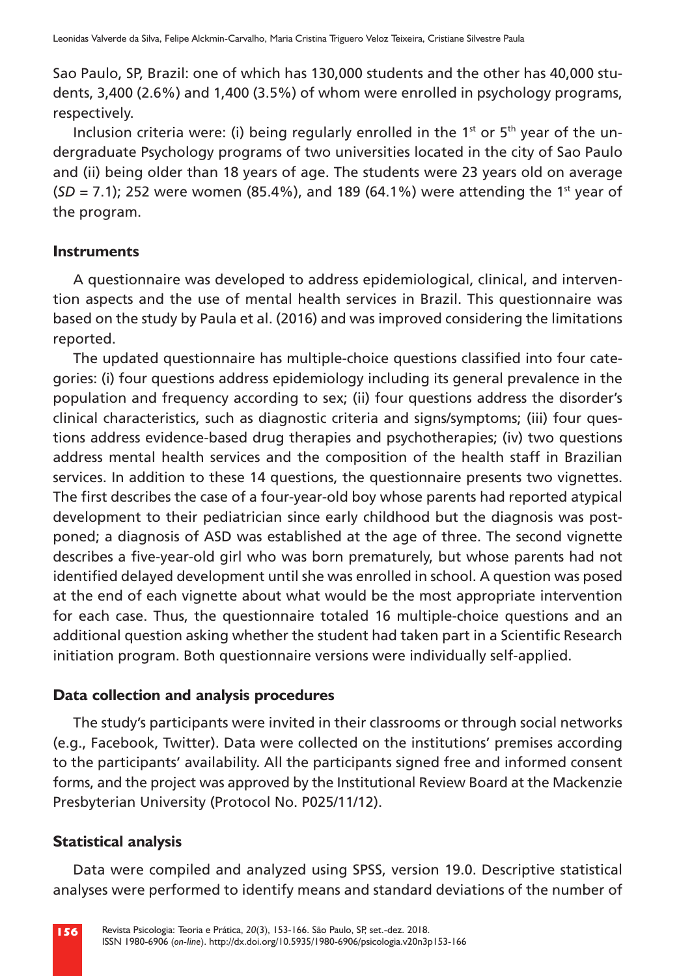Sao Paulo, SP, Brazil: one of which has 130,000 students and the other has 40,000 students, 3,400 (2.6%) and 1,400 (3.5%) of whom were enrolled in psychology programs, respectively.

Inclusion criteria were: (i) being regularly enrolled in the  $1<sup>st</sup>$  or  $5<sup>th</sup>$  year of the undergraduate Psychology programs of two universities located in the city of Sao Paulo and (ii) being older than 18 years of age. The students were 23 years old on average  $(SD = 7.1)$ ; 252 were women (85.4%), and 189 (64.1%) were attending the 1<sup>st</sup> year of the program.

# **Instruments**

A questionnaire was developed to address epidemiological, clinical, and intervention aspects and the use of mental health services in Brazil. This questionnaire was based on the study by Paula et al. (2016) and was improved considering the limitations reported.

The updated questionnaire has multiple-choice questions classified into four categories: (i) four questions address epidemiology including its general prevalence in the population and frequency according to sex; (ii) four questions address the disorder's clinical characteristics, such as diagnostic criteria and signs/symptoms; (iii) four questions address evidence-based drug therapies and psychotherapies; (iv) two questions address mental health services and the composition of the health staff in Brazilian services. In addition to these 14 questions, the questionnaire presents two vignettes. The first describes the case of a four-year-old boy whose parents had reported atypical development to their pediatrician since early childhood but the diagnosis was postponed; a diagnosis of ASD was established at the age of three. The second vignette describes a five-year-old girl who was born prematurely, but whose parents had not identified delayed development until she was enrolled in school. A question was posed at the end of each vignette about what would be the most appropriate intervention for each case. Thus, the questionnaire totaled 16 multiple-choice questions and an additional question asking whether the student had taken part in a Scientific Research initiation program. Both questionnaire versions were individually self-applied.

# **Data collection and analysis procedures**

The study's participants were invited in their classrooms or through social networks (e.g., Facebook, Twitter). Data were collected on the institutions' premises according to the participants' availability. All the participants signed free and informed consent forms, and the project was approved by the Institutional Review Board at the Mackenzie Presbyterian University (Protocol No. P025/11/12).

# **Statistical analysis**

Data were compiled and analyzed using SPSS, version 19.0. Descriptive statistical analyses were performed to identify means and standard deviations of the number of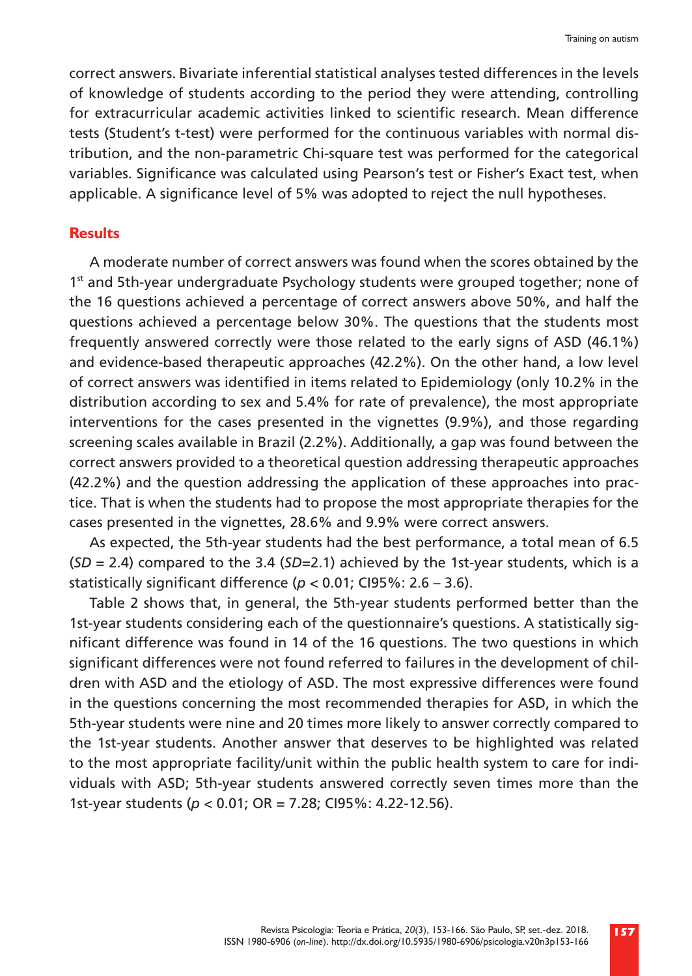correct answers. Bivariate inferential statistical analyses tested differences in the levels of knowledge of students according to the period they were attending, controlling for extracurricular academic activities linked to scientific research. Mean difference tests (Student's t-test) were performed for the continuous variables with normal distribution, and the non-parametric Chi-square test was performed for the categorical variables. Significance was calculated using Pearson's test or Fisher's Exact test, when applicable. A significance level of 5% was adopted to reject the null hypotheses.

## **Results**

A moderate number of correct answers was found when the scores obtained by the 1<sup>st</sup> and 5th-year undergraduate Psychology students were grouped together; none of the 16 questions achieved a percentage of correct answers above 50%, and half the questions achieved a percentage below 30%. The questions that the students most frequently answered correctly were those related to the early signs of ASD (46.1%) and evidence-based therapeutic approaches (42.2%). On the other hand, a low level of correct answers was identified in items related to Epidemiology (only 10.2% in the distribution according to sex and 5.4% for rate of prevalence), the most appropriate interventions for the cases presented in the vignettes (9.9%), and those regarding screening scales available in Brazil (2.2%). Additionally, a gap was found between the correct answers provided to a theoretical question addressing therapeutic approaches (42.2%) and the question addressing the application of these approaches into practice. That is when the students had to propose the most appropriate therapies for the cases presented in the vignettes, 28.6% and 9.9% were correct answers.

As expected, the 5th-year students had the best performance, a total mean of 6.5 (*SD* = 2.4) compared to the 3.4 (*SD*=2.1) achieved by the 1st-year students, which is a statistically significant difference (*p* < 0.01; CI95%: 2.6 – 3.6).

Table 2 shows that, in general, the 5th-year students performed better than the 1st-year students considering each of the questionnaire's questions. A statistically significant difference was found in 14 of the 16 questions. The two questions in which significant differences were not found referred to failures in the development of children with ASD and the etiology of ASD. The most expressive differences were found in the questions concerning the most recommended therapies for ASD, in which the 5th-year students were nine and 20 times more likely to answer correctly compared to the 1st-year students. Another answer that deserves to be highlighted was related to the most appropriate facility/unit within the public health system to care for individuals with ASD; 5th-year students answered correctly seven times more than the 1st-year students (*p* < 0.01; OR = 7.28; CI95%: 4.22-12.56).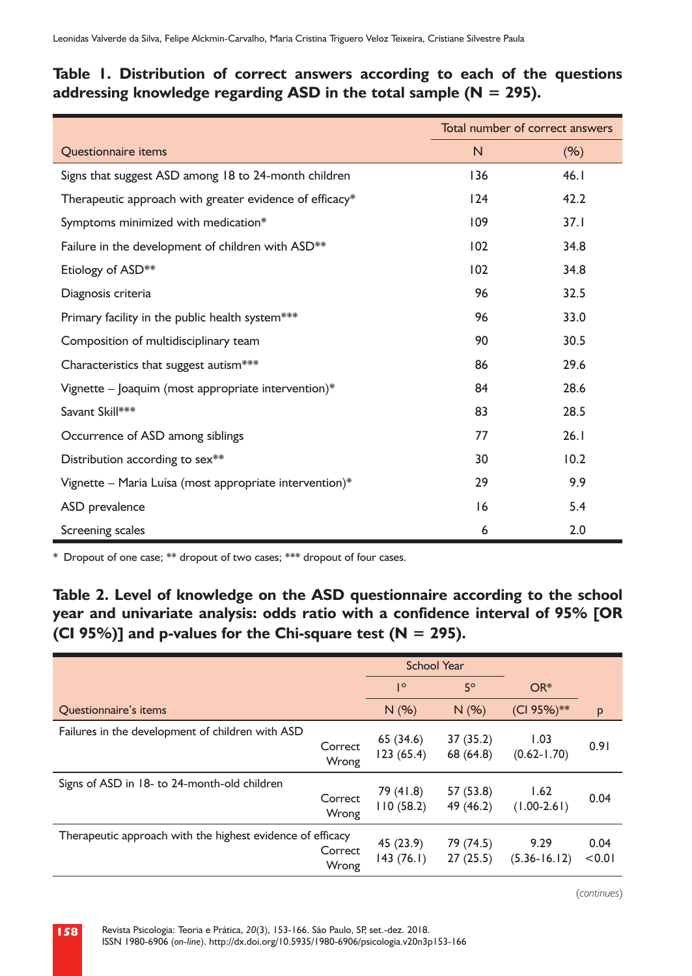# **Table 1. Distribution of correct answers according to each of the questions addressing knowledge regarding ASD in the total sample (N = 295).**

|                                                         | Total number of correct answers |      |
|---------------------------------------------------------|---------------------------------|------|
| <b>Questionnaire items</b>                              | N.                              | (% ) |
| Signs that suggest ASD among 18 to 24-month children    | 136                             | 46.1 |
| Therapeutic approach with greater evidence of efficacy* | 124                             | 42.2 |
| Symptoms minimized with medication*                     | 109                             | 37.1 |
| Failure in the development of children with ASD**       | 102                             | 34.8 |
| Etiology of ASD**                                       | 102                             | 34.8 |
| Diagnosis criteria                                      | 96                              | 32.5 |
| Primary facility in the public health system***         | 96                              | 33.0 |
| Composition of multidisciplinary team                   | 90                              | 30.5 |
| Characteristics that suggest autism***                  | 86                              | 29.6 |
| Vignette - Joaquim (most appropriate intervention)*     | 84                              | 28.6 |
| Savant Skill***                                         | 83                              | 28.5 |
| Occurrence of ASD among siblings                        | 77                              | 26.1 |
| Distribution according to sex**                         | 30                              | 10.2 |
| Vignette - Maria Luísa (most appropriate intervention)* | 29                              | 9.9  |
| ASD prevalence                                          | 16                              | 5.4  |
| Screening scales                                        | 6                               | 2.0  |

\* Dropout of one case; \*\* dropout of two cases; \*\*\* dropout of four cases.

**Table 2. Level of knowledge on the ASD questionnaire according to the school year and univariate analysis: odds ratio with a confidence interval of 95% [OR (CI 95%)] and p-values for the Chi-square test (N = 295).**

|                                                            |                  | <b>School Year</b>     |                        |                          |                |
|------------------------------------------------------------|------------------|------------------------|------------------------|--------------------------|----------------|
|                                                            |                  | $\mathsf{I}^{\circ}$   | 5°                     | $OR*$                    |                |
| <b>Ouestionnaire's items</b>                               |                  | N(%)                   | N(%)                   | (CI 95%)**               | P              |
| Failures in the development of children with ASD           | Correct<br>Wrong | 65(34.6)<br>123(65.4)  | 37(35.2)<br>68 (64.8)  | 1.03<br>$(0.62 - 1.70)$  | 0.91           |
| Signs of ASD in 18- to 24-month-old children               | Correct<br>Wrong | 79 (41.8)<br>110(58.2) | 57 (53.8)<br>49 (46.2) | 1.62<br>$(1.00 - 2.61)$  | 0.04           |
| Therapeutic approach with the highest evidence of efficacy | Correct<br>Wrong | 45 (23.9)<br>143(76.1) | 79 (74.5)<br>27(25.5)  | 9.29<br>$(5.36 - 16.12)$ | 0.04<br>< 0.01 |

(*continues*)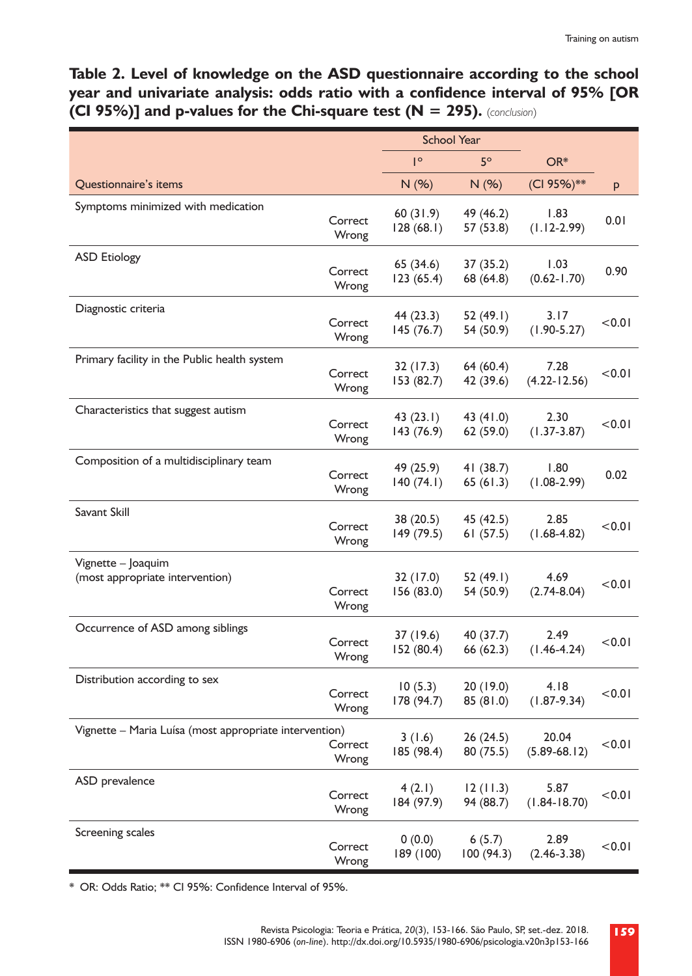**Table 2. Level of knowledge on the ASD questionnaire according to the school year and univariate analysis: odds ratio with a confidence interval of 95% [OR (CI 95%)] and p-values for the Chi-square test (N = 295).** (*conclusion*)

|                                                        |                  | <b>School Year</b>      |                        |                           |        |
|--------------------------------------------------------|------------------|-------------------------|------------------------|---------------------------|--------|
|                                                        |                  | $\mathsf{I}^\circ$      | $5^\circ$              | OR*                       |        |
| Questionnaire's items                                  |                  | N (%)                   | N(%)                   | (CI 95%)**                | p      |
| Symptoms minimized with medication                     | Correct<br>Wrong | 60(31.9)<br>128(68.1)   | 49 (46.2)<br>57 (53.8) | 1.83<br>$(1.12 - 2.99)$   | 0.01   |
| <b>ASD Etiology</b>                                    | Correct<br>Wrong | 65 (34.6)<br>123(65.4)  | 37 (35.2)<br>68 (64.8) | 1.03<br>$(0.62 - 1.70)$   | 0.90   |
| Diagnostic criteria                                    | Correct<br>Wrong | 44 (23.3)<br>145 (76.7) | 52 (49.I)<br>54 (50.9) | 3.17<br>$(1.90 - 5.27)$   | < 0.01 |
| Primary facility in the Public health system           | Correct<br>Wrong | 32 (17.3)<br>153 (82.7) | 64 (60.4)<br>42 (39.6) | 7.28<br>$(4.22 - 12.56)$  | < 0.01 |
| Characteristics that suggest autism                    | Correct<br>Wrong | 43(23.1)<br>143 (76.9)  | 43 (41.0)<br>62 (59.0) | 2.30<br>$(1.37 - 3.87)$   | < 0.01 |
| Composition of a multidisciplinary team                | Correct<br>Wrong | 49 (25.9)<br>140(74.1)  | 41 (38.7)<br>65(61.3)  | 1.80<br>$(1.08 - 2.99)$   | 0.02   |
| Savant Skill                                           | Correct<br>Wrong | 38 (20.5)<br>149 (79.5) | 45 (42.5)<br>61(57.5)  | 2.85<br>$(1.68 - 4.82)$   | < 0.01 |
| Vignette - Joaquim<br>(most appropriate intervention)  | Correct<br>Wrong | 32 (17.0)<br>156 (83.0) | 52 (49.I)<br>54 (50.9) | 4.69<br>$(2.74 - 8.04)$   | < 0.01 |
| Occurrence of ASD among siblings                       | Correct<br>Wrong | 37 (19.6)<br>152 (80.4) | 40 (37.7)<br>66 (62.3) | 2.49<br>$(1.46 - 4.24)$   | < 0.01 |
| Distribution according to sex                          | Correct<br>Wrong | 10(5.3)<br>178 (94.7)   | 20 (19.0)<br>85 (81.0) | 4.18<br>$(1.87 - 9.34)$   | < 0.01 |
| Vignette - Maria Luísa (most appropriate intervention) | Correct<br>Wrong | 3(1.6)<br>185 (98.4)    | 26 (24.5)<br>80 (75.5) | 20.04<br>$(5.89 - 68.12)$ | < 0.01 |
| ASD prevalence                                         | Correct<br>Wrong | 4(2.1)<br>184 (97.9)    | 12(11.3)<br>94 (88.7)  | 5.87<br>$(1.84 - 18.70)$  | < 0.01 |
| Screening scales                                       | Correct<br>Wrong | 0(0.0)<br>189 (100)     | 6(5.7)<br>100 (94.3)   | 2.89<br>$(2.46 - 3.38)$   | < 0.01 |

\* OR: Odds Ratio; \*\* CI 95%: Confidence Interval of 95%.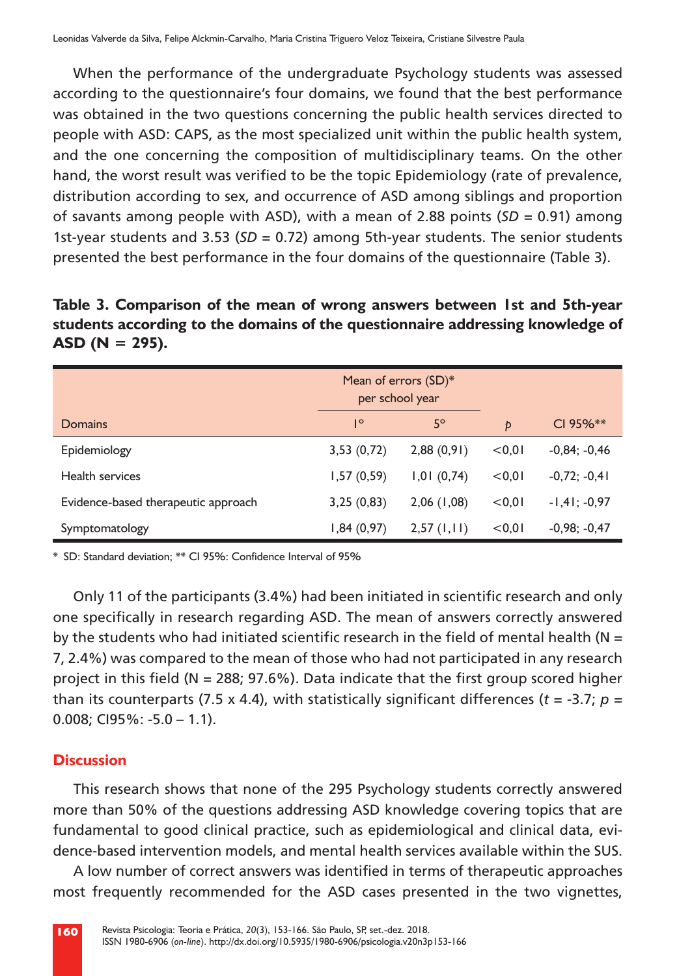When the performance of the undergraduate Psychology students was assessed according to the questionnaire's four domains, we found that the best performance was obtained in the two questions concerning the public health services directed to people with ASD: CAPS, as the most specialized unit within the public health system, and the one concerning the composition of multidisciplinary teams. On the other hand, the worst result was verified to be the topic Epidemiology (rate of prevalence, distribution according to sex, and occurrence of ASD among siblings and proportion of savants among people with ASD), with a mean of 2.88 points (*SD* = 0.91) among 1st-year students and 3.53 (*SD* = 0.72) among 5th-year students. The senior students presented the best performance in the four domains of the questionnaire (Table 3).

**Table 3. Comparison of the mean of wrong answers between 1st and 5th-year students according to the domains of the questionnaire addressing knowledge of ASD (N = 295).**

|                                     | Mean of errors (SD)*<br>per school year |            |        |                |
|-------------------------------------|-----------------------------------------|------------|--------|----------------|
| <b>Domains</b>                      | $\mathsf{I}^{\circ}$                    | $5^\circ$  | p      | $CI 95%$ **    |
| Epidemiology                        | 3,53(0,72)                              | 2,88(0,91) | < 0.01 | $-0,84; -0,46$ |
| <b>Health services</b>              | 1,57(0,59)                              | 1,01(0,74) | < 0.01 | $-0,72; -0,41$ |
| Evidence-based therapeutic approach | 3,25(0,83)                              | 2,06(1,08) | < 0.01 | $-1,41; -0,97$ |
| Symptomatology                      | 1,84(0,97)                              | 2,57(1,11) | < 0.01 | $-0.98; -0.47$ |

\* SD: Standard deviation; \*\* CI 95%: Confidence Interval of 95%

Only 11 of the participants (3.4%) had been initiated in scientific research and only one specifically in research regarding ASD. The mean of answers correctly answered by the students who had initiated scientific research in the field of mental health ( $N =$ 7, 2.4%) was compared to the mean of those who had not participated in any research project in this field ( $N = 288$ ; 97.6%). Data indicate that the first group scored higher than its counterparts (7.5 x 4.4), with statistically significant differences (*t* = -3.7; *p* = 0.008; CI95%: -5.0 – 1.1).

## **Discussion**

This research shows that none of the 295 Psychology students correctly answered more than 50% of the questions addressing ASD knowledge covering topics that are fundamental to good clinical practice, such as epidemiological and clinical data, evidence-based intervention models, and mental health services available within the SUS.

A low number of correct answers was identified in terms of therapeutic approaches most frequently recommended for the ASD cases presented in the two vignettes,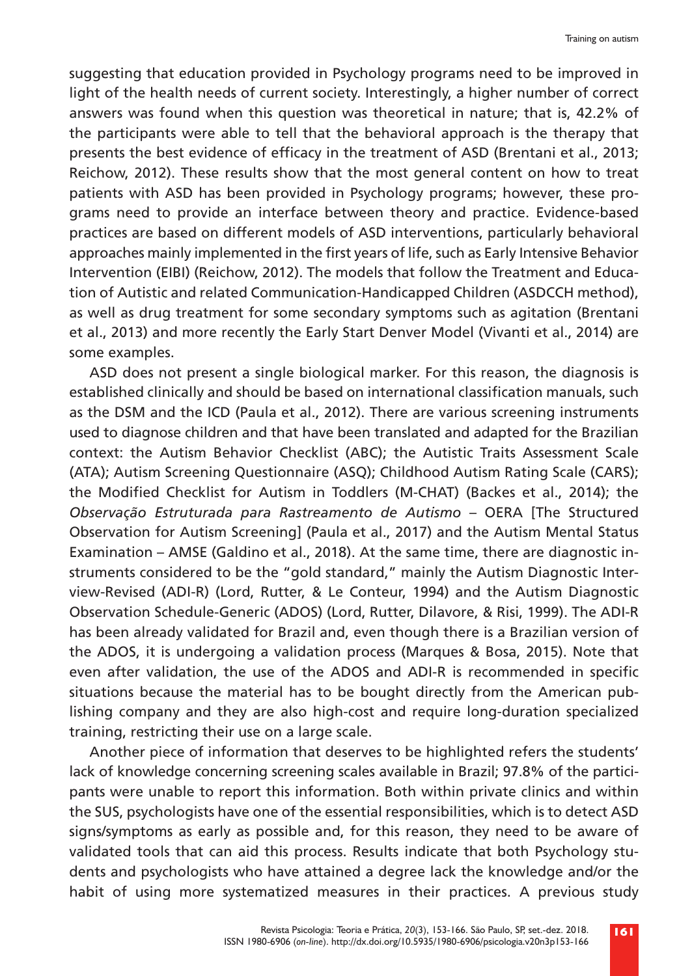suggesting that education provided in Psychology programs need to be improved in light of the health needs of current society. Interestingly, a higher number of correct answers was found when this question was theoretical in nature; that is, 42.2% of the participants were able to tell that the behavioral approach is the therapy that presents the best evidence of efficacy in the treatment of ASD (Brentani et al., 2013; Reichow, 2012). These results show that the most general content on how to treat patients with ASD has been provided in Psychology programs; however, these programs need to provide an interface between theory and practice. Evidence-based practices are based on different models of ASD interventions, particularly behavioral approaches mainly implemented in the first years of life, such as Early Intensive Behavior Intervention (EIBI) (Reichow, 2012). The models that follow the Treatment and Education of Autistic and related Communication-Handicapped Children (ASDCCH method), as well as drug treatment for some secondary symptoms such as agitation (Brentani et al., 2013) and more recently the Early Start Denver Model (Vivanti et al., 2014) are some examples.

ASD does not present a single biological marker. For this reason, the diagnosis is established clinically and should be based on international classification manuals, such as the DSM and the ICD (Paula et al., 2012). There are various screening instruments used to diagnose children and that have been translated and adapted for the Brazilian context: the Autism Behavior Checklist (ABC); the Autistic Traits Assessment Scale (ATA); Autism Screening Questionnaire (ASQ); Childhood Autism Rating Scale (CARS); the Modified Checklist for Autism in Toddlers (M-CHAT) (Backes et al., 2014); the *Observação Estruturada para Rastreamento de Autismo* – OERA [The Structured Observation for Autism Screening] (Paula et al., 2017) and the Autism Mental Status Examination – AMSE (Galdino et al., 2018). At the same time, there are diagnostic instruments considered to be the "gold standard," mainly the Autism Diagnostic Interview-Revised (ADI-R) (Lord, Rutter, & Le Conteur, 1994) and the Autism Diagnostic Observation Schedule-Generic (ADOS) (Lord, Rutter, Dilavore, & Risi, 1999). The ADI-R has been already validated for Brazil and, even though there is a Brazilian version of the ADOS, it is undergoing a validation process (Marques & Bosa, 2015). Note that even after validation, the use of the ADOS and ADI-R is recommended in specific situations because the material has to be bought directly from the American publishing company and they are also high-cost and require long-duration specialized training, restricting their use on a large scale.

Another piece of information that deserves to be highlighted refers the students' lack of knowledge concerning screening scales available in Brazil; 97.8% of the participants were unable to report this information. Both within private clinics and within the SUS, psychologists have one of the essential responsibilities, which is to detect ASD signs/symptoms as early as possible and, for this reason, they need to be aware of validated tools that can aid this process. Results indicate that both Psychology students and psychologists who have attained a degree lack the knowledge and/or the habit of using more systematized measures in their practices. A previous study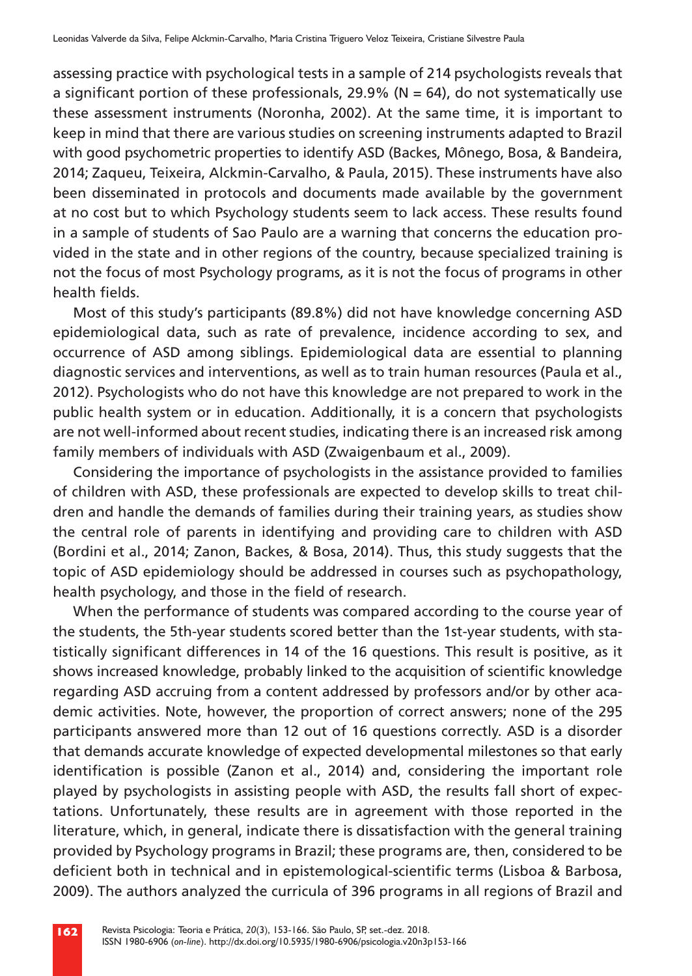assessing practice with psychological tests in a sample of 214 psychologists reveals that a significant portion of these professionals, 29.9% ( $N = 64$ ), do not systematically use these assessment instruments (Noronha, 2002). At the same time, it is important to keep in mind that there are various studies on screening instruments adapted to Brazil with good psychometric properties to identify ASD (Backes, Mônego, Bosa, & Bandeira, 2014; Zaqueu, Teixeira, Alckmin-Carvalho, & Paula, 2015). These instruments have also been disseminated in protocols and documents made available by the government at no cost but to which Psychology students seem to lack access. These results found in a sample of students of Sao Paulo are a warning that concerns the education provided in the state and in other regions of the country, because specialized training is not the focus of most Psychology programs, as it is not the focus of programs in other health fields.

Most of this study's participants (89.8%) did not have knowledge concerning ASD epidemiological data, such as rate of prevalence, incidence according to sex, and occurrence of ASD among siblings. Epidemiological data are essential to planning diagnostic services and interventions, as well as to train human resources (Paula et al., 2012). Psychologists who do not have this knowledge are not prepared to work in the public health system or in education. Additionally, it is a concern that psychologists are not well-informed about recent studies, indicating there is an increased risk among family members of individuals with ASD (Zwaigenbaum et al., 2009).

Considering the importance of psychologists in the assistance provided to families of children with ASD, these professionals are expected to develop skills to treat children and handle the demands of families during their training years, as studies show the central role of parents in identifying and providing care to children with ASD (Bordini et al., 2014; Zanon, Backes, & Bosa, 2014). Thus, this study suggests that the topic of ASD epidemiology should be addressed in courses such as psychopathology, health psychology, and those in the field of research.

When the performance of students was compared according to the course year of the students, the 5th-year students scored better than the 1st-year students, with statistically significant differences in 14 of the 16 questions. This result is positive, as it shows increased knowledge, probably linked to the acquisition of scientific knowledge regarding ASD accruing from a content addressed by professors and/or by other academic activities. Note, however, the proportion of correct answers; none of the 295 participants answered more than 12 out of 16 questions correctly. ASD is a disorder that demands accurate knowledge of expected developmental milestones so that early identification is possible (Zanon et al., 2014) and, considering the important role played by psychologists in assisting people with ASD, the results fall short of expectations. Unfortunately, these results are in agreement with those reported in the literature, which, in general, indicate there is dissatisfaction with the general training provided by Psychology programs in Brazil; these programs are, then, considered to be deficient both in technical and in epistemological-scientific terms (Lisboa & Barbosa, 2009). The authors analyzed the curricula of 396 programs in all regions of Brazil and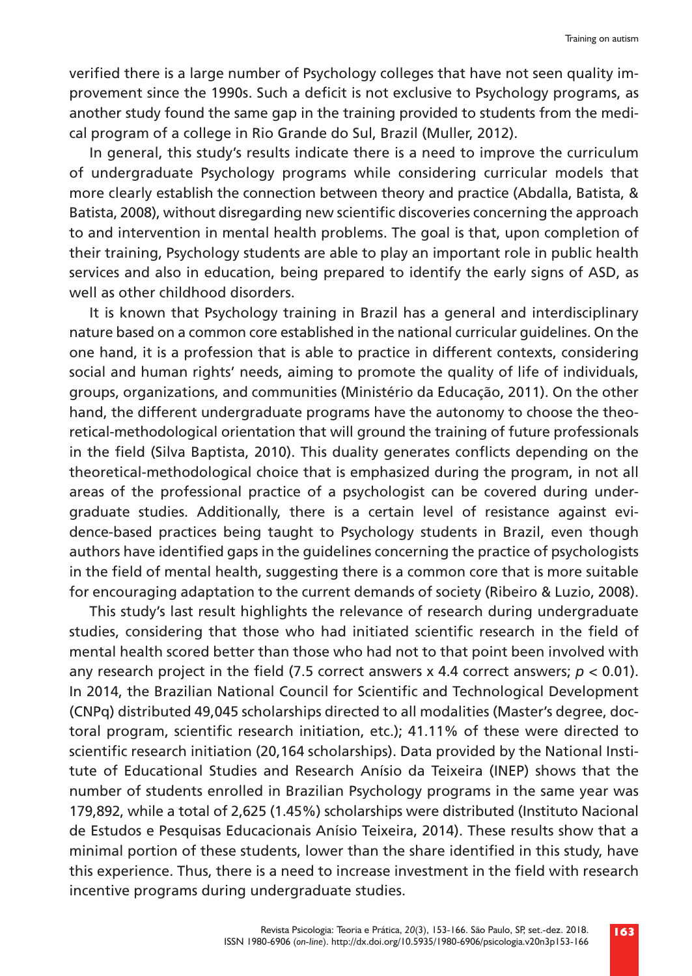verified there is a large number of Psychology colleges that have not seen quality improvement since the 1990s. Such a deficit is not exclusive to Psychology programs, as another study found the same gap in the training provided to students from the medical program of a college in Rio Grande do Sul, Brazil (Muller, 2012).

In general, this study's results indicate there is a need to improve the curriculum of undergraduate Psychology programs while considering curricular models that more clearly establish the connection between theory and practice (Abdalla, Batista, & Batista, 2008), without disregarding new scientific discoveries concerning the approach to and intervention in mental health problems. The goal is that, upon completion of their training, Psychology students are able to play an important role in public health services and also in education, being prepared to identify the early signs of ASD, as well as other childhood disorders.

It is known that Psychology training in Brazil has a general and interdisciplinary nature based on a common core established in the national curricular guidelines. On the one hand, it is a profession that is able to practice in different contexts, considering social and human rights' needs, aiming to promote the quality of life of individuals, groups, organizations, and communities (Ministério da Educação, 2011). On the other hand, the different undergraduate programs have the autonomy to choose the theoretical-methodological orientation that will ground the training of future professionals in the field (Silva Baptista, 2010). This duality generates conflicts depending on the theoretical-methodological choice that is emphasized during the program, in not all areas of the professional practice of a psychologist can be covered during undergraduate studies. Additionally, there is a certain level of resistance against evidence-based practices being taught to Psychology students in Brazil, even though authors have identified gaps in the guidelines concerning the practice of psychologists in the field of mental health, suggesting there is a common core that is more suitable for encouraging adaptation to the current demands of society (Ribeiro & Luzio, 2008).

This study's last result highlights the relevance of research during undergraduate studies, considering that those who had initiated scientific research in the field of mental health scored better than those who had not to that point been involved with any research project in the field (7.5 correct answers x 4.4 correct answers; *p* < 0.01). In 2014, the Brazilian National Council for Scientific and Technological Development (CNPq) distributed 49,045 scholarships directed to all modalities (Master's degree, doctoral program, scientific research initiation, etc.); 41.11% of these were directed to scientific research initiation (20,164 scholarships). Data provided by the National Institute of Educational Studies and Research Anísio da Teixeira (INEP) shows that the number of students enrolled in Brazilian Psychology programs in the same year was 179,892, while a total of 2,625 (1.45%) scholarships were distributed (Instituto Nacional de Estudos e Pesquisas Educacionais Anísio Teixeira, 2014). These results show that a minimal portion of these students, lower than the share identified in this study, have this experience. Thus, there is a need to increase investment in the field with research incentive programs during undergraduate studies.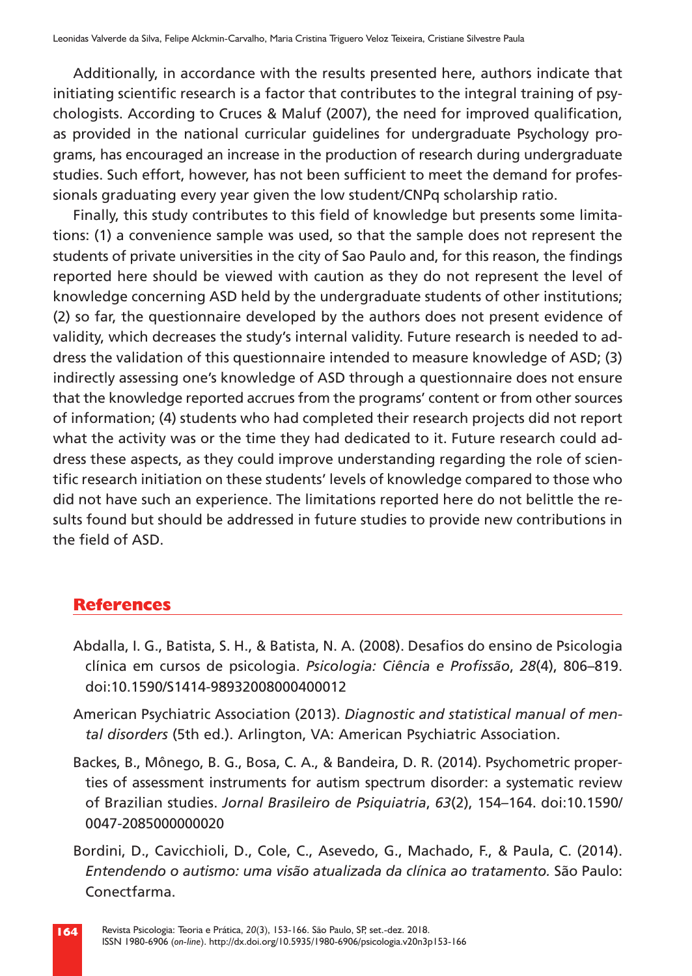Additionally, in accordance with the results presented here, authors indicate that initiating scientific research is a factor that contributes to the integral training of psychologists. According to Cruces & Maluf (2007), the need for improved qualification, as provided in the national curricular guidelines for undergraduate Psychology programs, has encouraged an increase in the production of research during undergraduate studies. Such effort, however, has not been sufficient to meet the demand for professionals graduating every year given the low student/CNPq scholarship ratio.

Finally, this study contributes to this field of knowledge but presents some limitations: (1) a convenience sample was used, so that the sample does not represent the students of private universities in the city of Sao Paulo and, for this reason, the findings reported here should be viewed with caution as they do not represent the level of knowledge concerning ASD held by the undergraduate students of other institutions; (2) so far, the questionnaire developed by the authors does not present evidence of validity, which decreases the study's internal validity. Future research is needed to address the validation of this questionnaire intended to measure knowledge of ASD; (3) indirectly assessing one's knowledge of ASD through a questionnaire does not ensure that the knowledge reported accrues from the programs' content or from other sources of information; (4) students who had completed their research projects did not report what the activity was or the time they had dedicated to it. Future research could address these aspects, as they could improve understanding regarding the role of scientific research initiation on these students' levels of knowledge compared to those who did not have such an experience. The limitations reported here do not belittle the results found but should be addressed in future studies to provide new contributions in the field of ASD.

# **References**

- Abdalla, I. G., Batista, S. H., & Batista, N. A. (2008). Desafios do ensino de Psicologia clínica em cursos de psicologia. *Psicologia: Ciência e Profissão*, *28*(4), 806–819. doi:10.1590/S1414-98932008000400012
- American Psychiatric Association (2013). *Diagnostic and statistical manual of mental disorders* (5th ed.). Arlington, VA: American Psychiatric Association.
- Backes, B., Mônego, B. G., Bosa, C. A., & Bandeira, D. R. (2014). Psychometric properties of assessment instruments for autism spectrum disorder: a systematic review of Brazilian studies. *Jornal Brasileiro de Psiquiatria*, *63*(2), 154–164. doi:10.1590/ 0047-2085000000020
- Bordini, D., Cavicchioli, D., Cole, C., Asevedo, G., Machado, F., & Paula, C. (2014). *Entendendo o autismo: uma visão atualizada da clínica ao tratamento.* São Paulo: Conectfarma.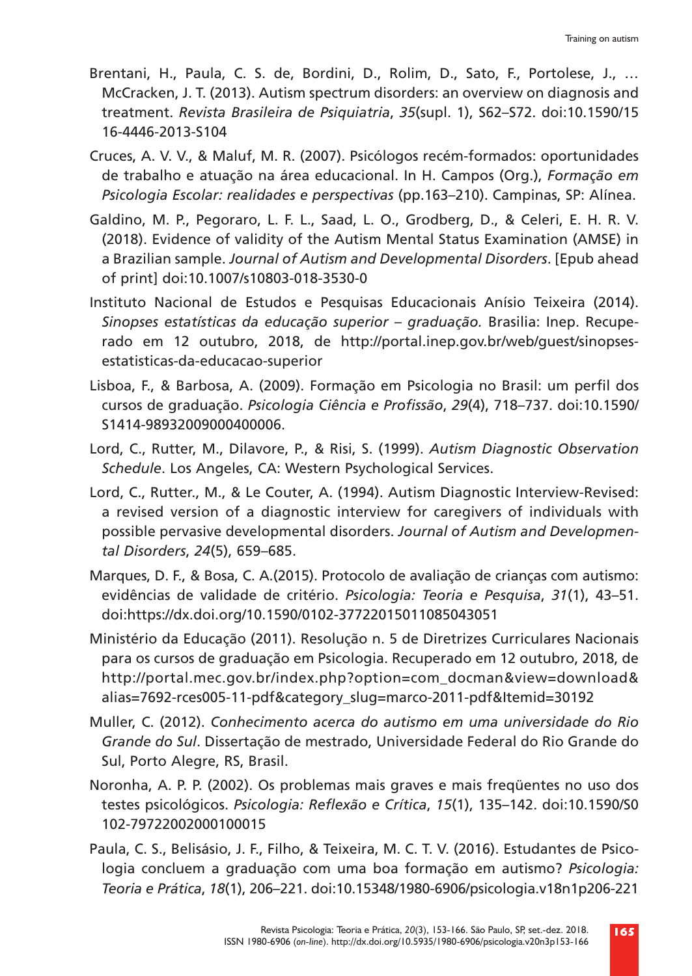- Brentani, H., Paula, C. S. de, Bordini, D., Rolim, D., Sato, F., Portolese, J., … McCracken, J. T. (2013). Autism spectrum disorders: an overview on diagnosis and treatment. *Revista Brasileira de Psiquiatria*, *35*(supl. 1), S62–S72. doi:10.1590/15 16-4446-2013-S104
- Cruces, A. V. V., & Maluf, M. R. (2007). Psicólogos recém-formados: oportunidades de trabalho e atuação na área educacional. In H. Campos (Org.), *Formação em Psicologia Escolar: realidades e perspectivas* (pp.163–210). Campinas, SP: Alínea.
- Galdino, M. P., Pegoraro, L. F. L., Saad, L. O., Grodberg, D., & Celeri, E. H. R. V. (2018). Evidence of validity of the Autism Mental Status Examination (AMSE) in a Brazilian sample. *Journal of Autism and Developmental Disorders*. [Epub ahead of print] doi:10.1007/s10803-018-3530-0
- Instituto Nacional de Estudos e Pesquisas Educacionais Anísio Teixeira (2014). *Sinopses estatísticas da educação superior – graduação.* Brasilia: Inep. Recuperado em 12 outubro, 2018, de http://portal.inep.gov.br/web/guest/sinopsesestatisticas-da-educacao-superior
- Lisboa, F., & Barbosa, A. (2009). Formação em Psicologia no Brasil: um perfil dos cursos de graduação. *Psicologia Ciência e Profissão*, *29*(4), 718–737. doi:10.1590/ S1414-98932009000400006.
- Lord, C., Rutter, M., Dilavore, P., & Risi, S. (1999). *Autism Diagnostic Observation Schedule*. Los Angeles, CA: Western Psychological Services.
- Lord, C., Rutter., M., & Le Couter, A. (1994). Autism Diagnostic Interview-Revised: a revised version of a diagnostic interview for caregivers of individuals with possible pervasive developmental disorders. *Journal of Autism and Developmental Disorders*, *24*(5), 659–685.
- Marques, D. F., & Bosa, C. A.(2015). Protocolo de avaliação de crianças com autismo: evidências de validade de critério. *Psicologia: Teoria e Pesquisa*, *31*(1), 43–51. doi:https://dx.doi.org/10.1590/0102-37722015011085043051
- Ministério da Educação (2011). Resolução n. 5 de Diretrizes Curriculares Nacionais para os cursos de graduação em Psicologia. Recuperado em 12 outubro, 2018, de http://portal.mec.gov.br/index.php?option=com\_docman&view=download& alias=7692-rces005-11-pdf&category\_slug=marco-2011-pdf&Itemid=30192
- Muller, C. (2012). *Conhecimento acerca do autismo em uma universidade do Rio Grande do Sul*. Dissertação de mestrado, Universidade Federal do Rio Grande do Sul, Porto Alegre, RS, Brasil.
- Noronha, A. P. P. (2002). Os problemas mais graves e mais freqüentes no uso dos testes psicológicos. *Psicologia: Reflexão e Crítica*, *15*(1), 135–142. doi:10.1590/S0 102-79722002000100015
- Paula, C. S., Belisásio, J. F., Filho, & Teixeira, M. C. T. V. (2016). Estudantes de Psicologia concluem a graduação com uma boa formação em autismo? *Psicologia: Teoria e Prática*, *18*(1), 206–221. doi:10.15348/1980-6906/psicologia.v18n1p206-221